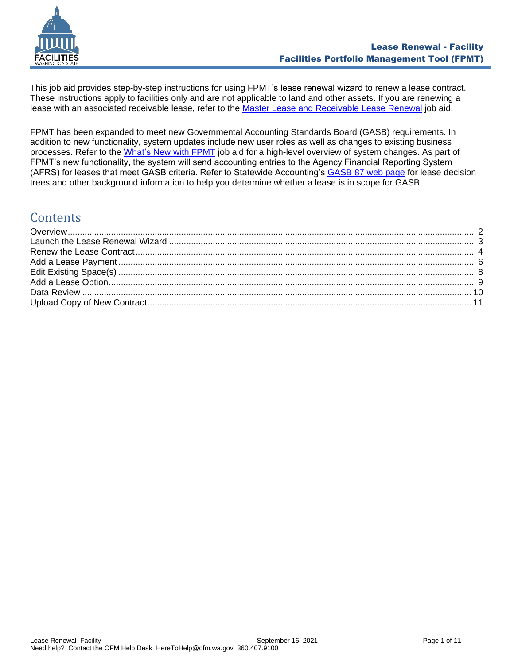

This job aid provides step-by-step instructions for using FPMT's lease renewal wizard to renew a lease contract. These instructions apply to facilities only and are not applicable to land and other assets. If you are renewing a lease with an associated receivable lease, refer to the [Master Lease and Receivable Lease Renewal](https://ofm.wa.gov/sites/default/files/public/itsystems/FPMT/Master%20Lease%20and%20Receivable%20Lease%20Renewal%20-%20Facility.pdf) job aid.

FPMT has been expanded to meet new Governmental Accounting Standards Board (GASB) requirements. In addition to new functionality, system updates include new user roles as well as changes to existing business processes. Refer to the [What's New with FPMT](https://ofm.wa.gov/sites/default/files/public/itsystems/FPMT/What%27s%20New%20with%20FPMT.pdf) job aid for a high-level overview of system changes. As part of FPMT's new functionality, the system will send accounting entries to the Agency Financial Reporting System (AFRS) for leases that meet GASB criteria. Refer to Statewide Accounting's [GASB 87 web page](https://ofm.wa.gov/accounting/administrative-accounting-resources/leases-gasb-87) for lease decision trees and other background information to help you determine whether a lease is in scope for GASB.

# **Contents**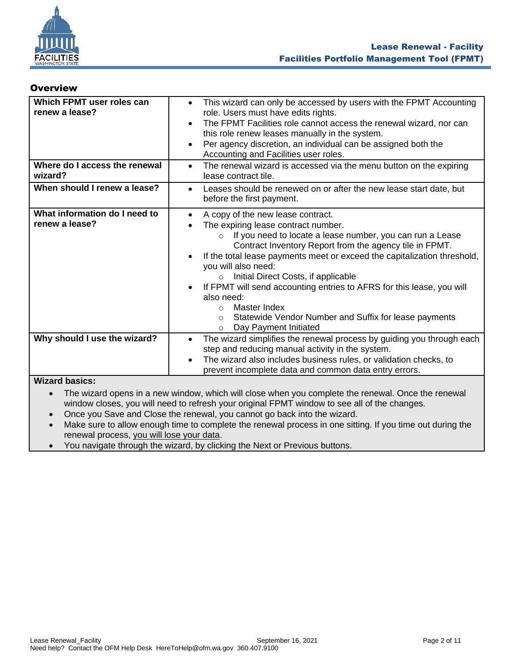

### <span id="page-1-0"></span>**Overview**

| Which FPMT user roles can<br>renew a lease?     | This wizard can only be accessed by users with the FPMT Accounting<br>$\bullet$<br>role. Users must have edits rights.<br>The FPMT Facilities role cannot access the renewal wizard, nor can<br>$\bullet$<br>this role renew leases manually in the system.<br>Per agency discretion, an individual can be assigned both the<br>$\bullet$<br>Accounting and Facilities user roles.                                                                                                                                                                                                                                                 |
|-------------------------------------------------|------------------------------------------------------------------------------------------------------------------------------------------------------------------------------------------------------------------------------------------------------------------------------------------------------------------------------------------------------------------------------------------------------------------------------------------------------------------------------------------------------------------------------------------------------------------------------------------------------------------------------------|
| Where do I access the renewal<br>wizard?        | The renewal wizard is accessed via the menu button on the expiring<br>$\bullet$<br>lease contract tile.                                                                                                                                                                                                                                                                                                                                                                                                                                                                                                                            |
| When should I renew a lease?                    | Leases should be renewed on or after the new lease start date, but<br>$\bullet$<br>before the first payment.                                                                                                                                                                                                                                                                                                                                                                                                                                                                                                                       |
| What information do I need to<br>renew a lease? | A copy of the new lease contract.<br>$\bullet$<br>The expiring lease contract number.<br>If you need to locate a lease number, you can run a Lease<br>$\circ$<br>Contract Inventory Report from the agency tile in FPMT.<br>If the total lease payments meet or exceed the capitalization threshold,<br>$\bullet$<br>you will also need:<br>Initial Direct Costs, if applicable<br>$\circ$<br>If FPMT will send accounting entries to AFRS for this lease, you will<br>$\bullet$<br>also need:<br>Master Index<br>$\Omega$<br>Statewide Vendor Number and Suffix for lease payments<br>$\circ$<br>Day Payment Initiated<br>$\circ$ |
| Why should I use the wizard?                    | The wizard simplifies the renewal process by guiding you through each<br>$\bullet$<br>step and reducing manual activity in the system.<br>The wizard also includes business rules, or validation checks, to<br>$\bullet$<br>prevent incomplete data and common data entry errors.                                                                                                                                                                                                                                                                                                                                                  |
| <b>Wizard basics:</b><br>$\bullet$              | The wizard opens in a new window, which will close when you complete the renewal. Once the renewal<br>window closes, you will need to refresh your original FPMT window to see all of the changes.<br>$\mathcal{L}$ and $\mathcal{L}$ and $\mathcal{L}$ and $\mathcal{L}$ and $\mathcal{L}$ and $\mathcal{L}$ and $\mathcal{L}$ and $\mathcal{L}$ and $\mathcal{L}$ and $\mathcal{L}$ and $\mathcal{L}$ and $\mathcal{L}$ and $\mathcal{L}$ and $\mathcal{L}$ and $\mathcal{L}$ and $\mathcal{L}$ and $\mathcal{L}$ and                                                                                                            |

- Once you Save and Close the renewal, you cannot go back into the wizard.
- Make sure to allow enough time to complete the renewal process in one sitting. If you time out during the renewal process, you will lose your data.
- You navigate through the wizard, by clicking the Next or Previous buttons.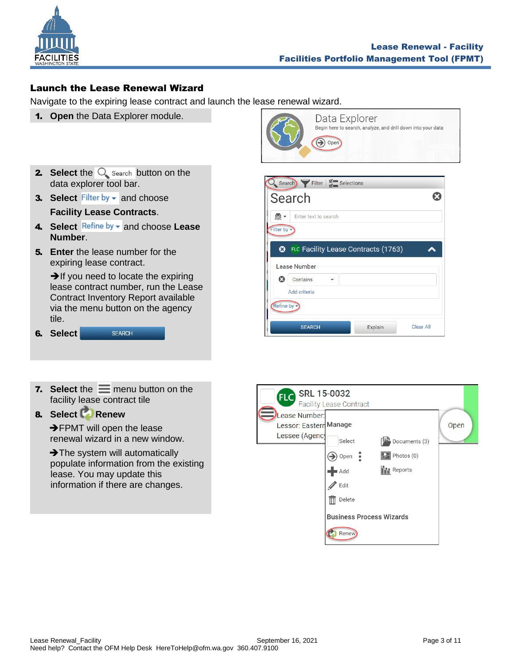

## <span id="page-2-0"></span>Launch the Lease Renewal Wizard

Navigate to the expiring lease contract and launch the lease renewal wizard.

- 1. **Open** the Data Explorer module.
- **2.** Select the  $\bigcirc$  search button on the data explorer tool bar.
- **3. Select** Filter by  $\bullet$  and choose **Facility Lease Contracts**.
- 4. Select Refine by  $\bullet$  and choose Lease **Number**.
- 5. **Enter** the lease number for the expiring lease contract.

 $\rightarrow$  If you need to locate the expiring lease contract number, run the Lease Contract Inventory Report available via the menu button on the agency tile.

6. **Select SEARCH** 

**7.** Select the  $\equiv$  menu button on the facility lease contract tile

# 8. **Select Renew**

**→FPMT** will open the lease renewal wizard in a new window.

**→ The system will automatically**  populate information from the existing lease. You may update this information if there are changes.



| Search Filter Selections                             |                  |
|------------------------------------------------------|------------------|
| Search                                               |                  |
| $rac{60}{200}$ $\rightarrow$<br>Enter text to search |                  |
| Filter by $\overline{\phantom{a}}$                   |                  |
| FLC Facility Lease Contracts (1763)<br>ೞ             |                  |
| Lease Number                                         |                  |
| ణ<br>Contains                                        |                  |
| Add criteria                                         |                  |
| Refine by -                                          |                  |
| <b>SEARCH</b><br>Explain                             | <b>Clear All</b> |

| <b>SRL 15-0032</b><br><b>FLC</b>               | <b>Facility Lease Contract</b> |                                 |      |
|------------------------------------------------|--------------------------------|---------------------------------|------|
| <b>Lease Number:</b><br>Lessor: Eastern Manage |                                |                                 | Open |
| Lessee (Agenc)                                 | Select                         | Documents (3)                   |      |
|                                                | Open                           | $\boxed{2}$ Photos (0)          |      |
|                                                | Add                            | <b>In Reports</b>               |      |
|                                                | Edit                           |                                 |      |
|                                                | Delete                         |                                 |      |
|                                                |                                | <b>Business Process Wizards</b> |      |
|                                                | Renew                          |                                 |      |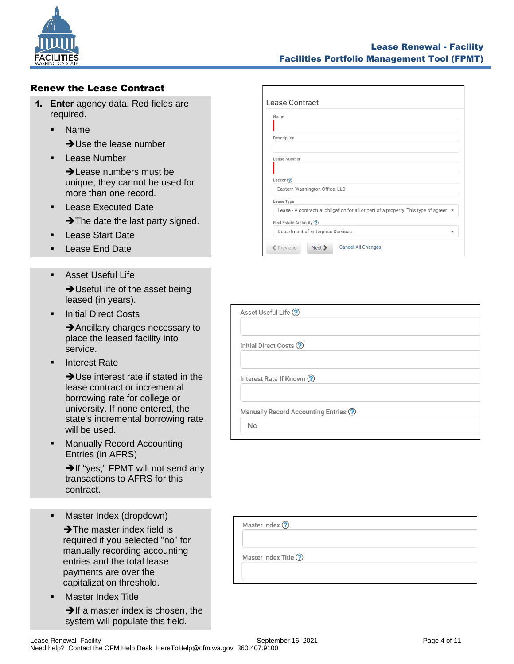

### <span id="page-3-0"></span>Renew the Lease Contract

- 1. **Enter** agency data. Red fields are required.
	- Name
		- **→ Use the lease number**
	- **Lease Number** 
		- **→ Lease numbers must be** unique; they cannot be used for more than one record.
	- Lease Executed Date
		- → The date the last party signed.
	- Lease Start Date
	- Lease End Date
	- **EXEC** Asset Useful Life **→ Useful life of the asset being** leased (in years).
	- Initial Direct Costs

**→**Ancillary charges necessary to place the leased facility into service.

**Interest Rate** 

➔Use interest rate if stated in the lease contract or incremental borrowing rate for college or university. If none entered, the state's incremental borrowing rate will be used.

■ Manually Record Accounting Entries (in AFRS)

> **→If "yes," FPMT will not send any** transactions to AFRS for this contract.

■ Master Index (dropdown)

 ➔The master index field is required if you selected "no" for manually recording accounting entries and the total lease payments are over the capitalization threshold.

**Master Index Title** 

**→If a master index is chosen, the** system will populate this field.

| Name           |                                                                                       |
|----------------|---------------------------------------------------------------------------------------|
|                |                                                                                       |
| Description    |                                                                                       |
|                |                                                                                       |
| Lease Number   |                                                                                       |
|                |                                                                                       |
| Lessor $\odot$ |                                                                                       |
|                | Eastern Washington Office, LLC                                                        |
| Lease Type     |                                                                                       |
|                | Lease - A contractual obligation for all or part of a property. This type of agreer ▼ |
|                | Real Estate Authority ?                                                               |
|                | Department of Enterprise Services                                                     |

| Asset Useful Life ?                  |
|--------------------------------------|
|                                      |
| Initial Direct Costs ?               |
|                                      |
| Interest Rate If Known ?             |
|                                      |
| Manually Record Accounting Entries ? |
| <b>No</b>                            |

| Master Index ?       |  |  |
|----------------------|--|--|
| Master Index Title ? |  |  |
|                      |  |  |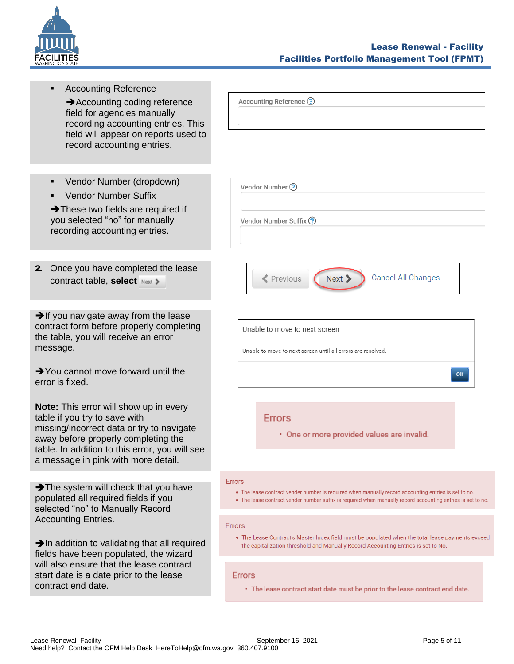

<span id="page-4-0"></span>

| <b>Accounting Reference</b><br>Accounting coding reference<br>field for agencies manually<br>recording accounting entries. This<br>field will appear on reports used to<br>record accounting entries.<br>Vendor Number (dropdown)<br>٠<br><b>Vendor Number Suffix</b><br>$\blacksquare$<br>$\rightarrow$ These two fields are required if<br>you selected "no" for manually<br>recording accounting entries. | Accounting Reference ?<br>Vendor Number ?<br>Vendor Number Suffix ?                                                                                                                                                                  |
|--------------------------------------------------------------------------------------------------------------------------------------------------------------------------------------------------------------------------------------------------------------------------------------------------------------------------------------------------------------------------------------------------------------|--------------------------------------------------------------------------------------------------------------------------------------------------------------------------------------------------------------------------------------|
| 2. Once you have completed the lease<br>contract table, select Next >                                                                                                                                                                                                                                                                                                                                        | <b>Cancel All Changes</b><br><b>≮</b> Previous<br>Next >                                                                                                                                                                             |
| $\rightarrow$ If you navigate away from the lease<br>contract form before properly completing<br>the table, you will receive an error<br>message.<br>$\rightarrow$ You cannot move forward until the<br>error is fixed.                                                                                                                                                                                      | Unable to move to next screen<br>Unable to move to next screen until all errors are resolved.<br>OK                                                                                                                                  |
| <b>Note:</b> This error will show up in every<br>table if you try to save with<br>missing/incorrect data or try to navigate<br>away before properly completing the<br>table. In addition to this error, you will see<br>a message in pink with more detail.                                                                                                                                                  | <b>Errors</b><br>· One or more provided values are invalid.                                                                                                                                                                          |
| The system will check that you have<br>populated all required fields if you<br>selected "no" to Manually Record<br><b>Accounting Entries.</b>                                                                                                                                                                                                                                                                | <b>Frrors</b><br>• The lease contract vender number is required when manually record accounting entries is set to no.<br>• The lease contract vender number suffix is required when manually record accounting entries is set to no. |
| $\rightarrow$ In addition to validating that all required<br>fields have been populated, the wizard<br>will also ensure that the lease contract                                                                                                                                                                                                                                                              | <b>Errors</b><br>• The Lease Contract's Master Index field must be populated when the total lease payments exceed<br>the capitalization threshold and Manually Record Accounting Entries is set to No.                               |
| start date is a date prior to the lease<br>contract end date.                                                                                                                                                                                                                                                                                                                                                | <b>Errors</b><br>• The lease contract start date must be prior to the lease contract end date.                                                                                                                                       |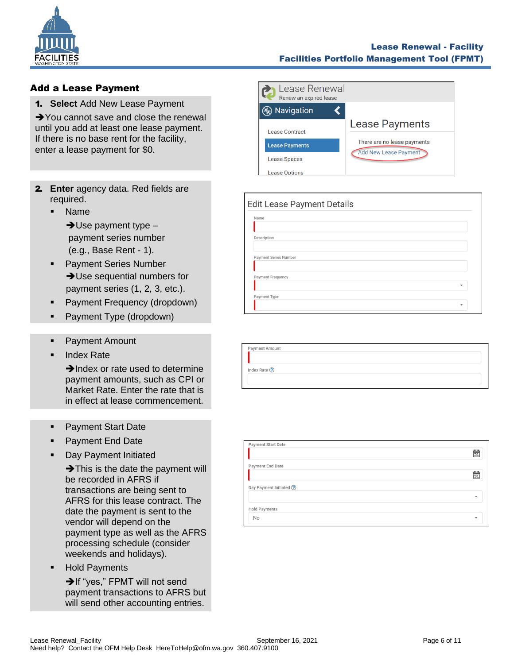

### Lease Renewal - Facility Facilities Portfolio Management Tool (FPMT)

## Add a Lease Payment

1. **Select** Add New Lease Payment

**→**You cannot save and close the renewal until you add at least one lease payment. If there is no base rent for the facility, enter a lease payment for \$0.

- 2. **Enter** agency data. Red fields are required.
	- Name

 $\rightarrow$  Use payment type  $$  payment series number (e.g., Base Rent - 1).

- **Payment Series Number → Use sequential numbers for** payment series (1, 2, 3, etc.).
- Payment Frequency (dropdown)
- Payment Type (dropdown)
- Payment Amount
- **Index Rate**

**→Index or rate used to determine** payment amounts, such as CPI or Market Rate. Enter the rate that is in effect at lease commencement.

- Payment Start Date
- **Payment End Date**
- Day Payment Initiated

 $\rightarrow$ This is the date the payment will be recorded in AFRS if transactions are being sent to AFRS for this lease contract. The date the payment is sent to the vendor will depend on the payment type as well as the AFRS processing schedule (consider weekends and holidays).

**Hold Payments** 

➔If "yes," FPMT will not send payment transactions to AFRS but will send other accounting entries.

| Lease Renewal<br>Renew an expired lease |                              |
|-----------------------------------------|------------------------------|
| Navigation                              |                              |
| <b>Lease Contract</b>                   | <b>Lease Payments</b>        |
| <b>Lease Payments</b>                   | There are no lease payments  |
| <b>Lease Spaces</b>                     | <b>Add New Lease Payment</b> |
| ease Options.                           |                              |

| Name                     |  |  |   |
|--------------------------|--|--|---|
| Description              |  |  |   |
|                          |  |  |   |
| Payment Series Number    |  |  |   |
| <b>Payment Frequency</b> |  |  |   |
|                          |  |  | ٠ |
| Payment Type             |  |  |   |

| مس<br>31 |
|----------|
|          |
|          |
| Щ<br>īзī |
|          |
| ÷        |
|          |
| ٠        |
|          |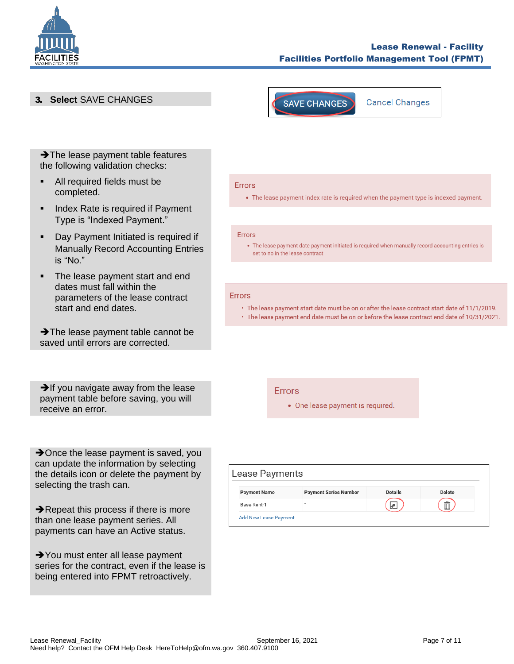

### Lease Renewal - Facility Facilities Portfolio Management Tool (FPMT)

3. **Select** SAVE CHANGES



**→ The lease payment table features** the following validation checks:

- All required fields must be completed.
- Index Rate is required if Payment Type is "Indexed Payment."
- Day Payment Initiated is required if Manually Record Accounting Entries is "No."
- The lease payment start and end dates must fall within the parameters of the lease contract start and end dates.

**→ The lease payment table cannot be** saved until errors are corrected.

 $\rightarrow$  If you navigate away from the lease payment table before saving, you will receive an error.

**→**Once the lease payment is saved, you can update the information by selecting the details icon or delete the payment by selecting the trash can.

**→ Repeat this process if there is more** than one lease payment series. All payments can have an Active status.

**→**You must enter all lease payment series for the contract, even if the lease is being entered into FPMT retroactively.

#### **Errors**

• The lease payment index rate is required when the payment type is indexed payment.

#### Errors

• The lease payment date payment initiated is required when manually record accounting entries is set to no in the lease contract

### **Errors**

• The lease payment start date must be on or after the lease contract start date of 11/1/2019. . The lease payment end date must be on or before the lease contract end date of 10/31/2021.

#### **Errors**

• One lease payment is required.

| Lease Payments               |                              |                |        |  |
|------------------------------|------------------------------|----------------|--------|--|
| <b>Payment Name</b>          | <b>Payment Series Number</b> | <b>Details</b> | Delete |  |
| Base Rent-1                  |                              |                | Ñ      |  |
| <b>Add New Lease Payment</b> |                              |                |        |  |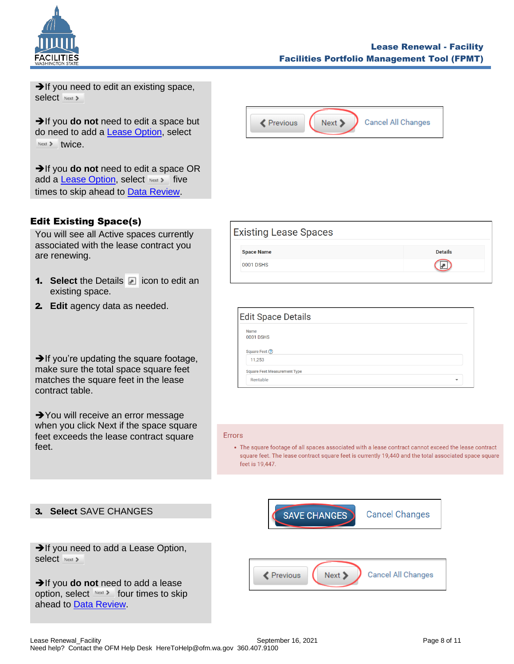

**→**If you need to edit an existing space, Select Next >

➔If you **do not** need to edit a space but do need to add a [Lease Option,](#page-8-0) select Next > twice.

➔If you **do not** need to edit a space OR add a **Lease Option**, select Next > five times to skip ahead to [Data Review.](#page-9-0)

## <span id="page-7-0"></span>Edit Existing Space(s)

You will see all Active spaces currently associated with the lease contract you are renewing.

- **1. Select** the Details **igma in the Select** the Details **igma** icon to edit an existing space.
- 2. **Edit** agency data as needed.

**→ If you're updating the square footage,** make sure the total space square feet matches the square feet in the lease contract table.

**→**You will receive an error message when you click Next if the space square feet exceeds the lease contract square feet.

| <b>≮</b> Previous | Next > | Cancel All Changes |
|-------------------|--------|--------------------|



| Name<br><b>0001 DSHS</b><br>Square Feet ?<br>11,253 |   |
|-----------------------------------------------------|---|
|                                                     |   |
|                                                     |   |
|                                                     |   |
| <b>Square Feet Measurement Type</b>                 |   |
| Rentable                                            | ÷ |

#### **Frrors**

• The square footage of all spaces associated with a lease contract cannot exceed the lease contract square feet. The lease contract square feet is currently 19,440 and the total associated space square feet is 19,447.

### 3. **Select** SAVE CHANGES

**→**If you need to add a Lease Option, select Next >

➔If you **do not** need to add a lease option, select Next > four times to skip ahead to [Data Review.](#page-9-0)

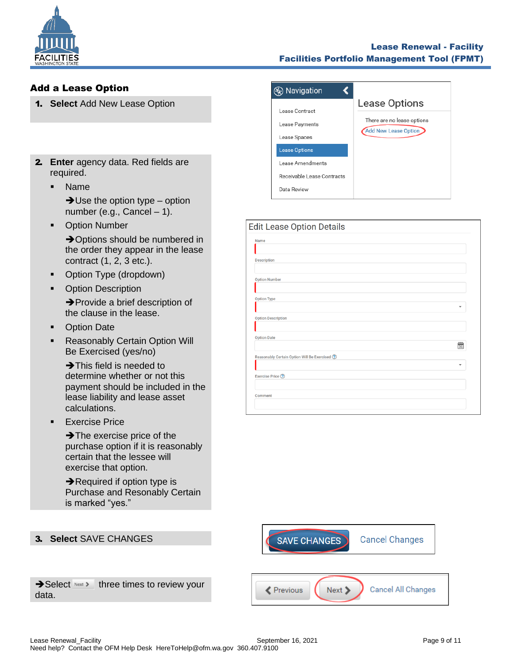

### Lease Renewal - Facility Facilities Portfolio Management Tool (FPMT)

## <span id="page-8-0"></span>Add a Lease Option

- 1. **Select** Add New Lease Option
- 2. **Enter** agency data. Red fields are required.
	- Name

 $\rightarrow$ Use the option type – option number (e.g., Cancel – 1).

■ Option Number

**→ Options should be numbered in** the order they appear in the lease contract (1, 2, 3 etc.).

- **Option Type (dropdown)**
- Option Description

➔Provide a brief description of the clause in the lease.

- Option Date
- **EXEC** Reasonably Certain Option Will Be Exercised (yes/no)

→ This field is needed to determine whether or not this payment should be included in the lease liability and lease asset calculations.

**Exercise Price** 

**→ The exercise price of the** purchase option if it is reasonably certain that the lessee will exercise that option.

**→ Required if option type is** Purchase and Resonably Certain is marked "yes."

### ⊗ Navigation  $\blacktriangleleft$ Lease Options Lease Contract There are no lease options Lease Payments Add New Lease Option Lease Spaces **Lease Options** Lease Amendments Receivable Lease Contracts Data Review

| Edit Lease Option Details                       |    |
|-------------------------------------------------|----|
| Name                                            |    |
|                                                 |    |
| <b>Description</b>                              |    |
| <b>Option Number</b>                            |    |
|                                                 |    |
| <b>Option Type</b>                              |    |
|                                                 |    |
| <b>Option Description</b>                       |    |
|                                                 |    |
| <b>Option Date</b>                              |    |
|                                                 | 31 |
| Reasonably Certain Option Will Be Exercised (?) |    |
|                                                 |    |
| Exercise Price ?                                |    |
|                                                 |    |
| Comment                                         |    |
|                                                 |    |



 $\rightarrow$  Select Next > three times to review your data.

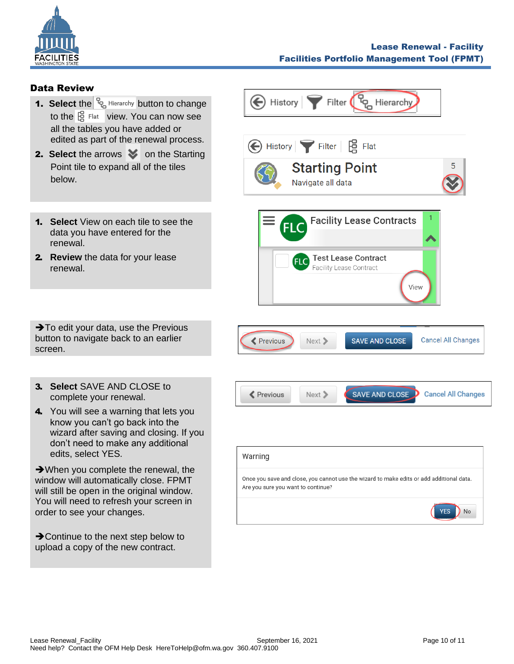

### <span id="page-9-0"></span>Data Review

- **1. Select** the  $\frac{p}{q}$  Hierarchy button to change to the  $\frac{16}{12}$  Flat view. You can now see all the tables you have added or edited as part of the renewal process.
- **2. Select** the arrows  $\blacktriangledown$  on the Starting Point tile to expand all of the tiles below.
- 1. **Select** View on each tile to see the data you have entered for the renewal.
- 2. **Review** the data for your lease renewal.

**→**To edit your data, use the Previous button to navigate back to an earlier screen.

- 3. **Select** SAVE AND CLOSE to complete your renewal.
- 4. You will see a warning that lets you know you can't go back into the wizard after saving and closing. If you don't need to make any additional edits, select YES.

➔When you complete the renewal, the window will automatically close. FPMT will still be open in the original window. You will need to refresh your screen in order to see your changes.

**→ Continue to the next step below to** upload a copy of the new contract.